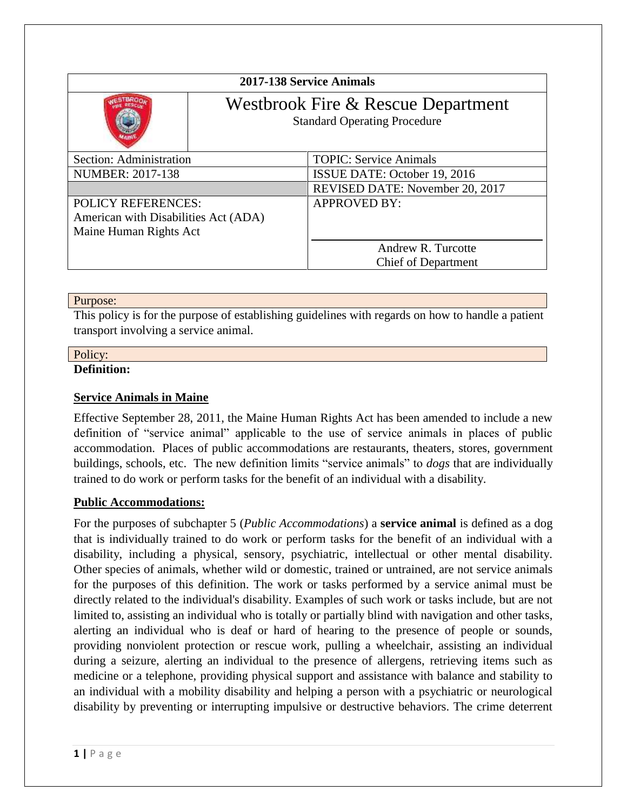| 2017-138 Service Animals             |                                                                           |                                 |
|--------------------------------------|---------------------------------------------------------------------------|---------------------------------|
|                                      | Westbrook Fire & Rescue Department<br><b>Standard Operating Procedure</b> |                                 |
| Section: Administration              |                                                                           | <b>TOPIC: Service Animals</b>   |
| <b>NUMBER: 2017-138</b>              |                                                                           | ISSUE DATE: October 19, 2016    |
|                                      |                                                                           | REVISED DATE: November 20, 2017 |
| <b>POLICY REFERENCES:</b>            |                                                                           | <b>APPROVED BY:</b>             |
| American with Disabilities Act (ADA) |                                                                           |                                 |
| Maine Human Rights Act               |                                                                           |                                 |
|                                      |                                                                           | Andrew R. Turcotte              |
|                                      |                                                                           | <b>Chief of Department</b>      |

### Purpose:

This policy is for the purpose of establishing guidelines with regards on how to handle a patient transport involving a service animal.

### Policy:

### **Definition:**

# **Service Animals in Maine**

Effective September 28, 2011, the Maine Human Rights Act has been amended to include a new definition of "service animal" applicable to the use of service animals in places of public accommodation. Places of public accommodations are restaurants, theaters, stores, government buildings, schools, etc. The new definition limits "service animals" to *dogs* that are individually trained to do work or perform tasks for the benefit of an individual with a disability.

# **Public Accommodations:**

For the purposes of subchapter 5 (*Public Accommodations*) a **service animal** is defined as a dog that is individually trained to do work or perform tasks for the benefit of an individual with a disability, including a physical, sensory, psychiatric, intellectual or other mental disability. Other species of animals, whether wild or domestic, trained or untrained, are not service animals for the purposes of this definition. The work or tasks performed by a service animal must be directly related to the individual's disability. Examples of such work or tasks include, but are not limited to, assisting an individual who is totally or partially blind with navigation and other tasks, alerting an individual who is deaf or hard of hearing to the presence of people or sounds, providing nonviolent protection or rescue work, pulling a wheelchair, assisting an individual during a seizure, alerting an individual to the presence of allergens, retrieving items such as medicine or a telephone, providing physical support and assistance with balance and stability to an individual with a mobility disability and helping a person with a psychiatric or neurological disability by preventing or interrupting impulsive or destructive behaviors. The crime deterrent